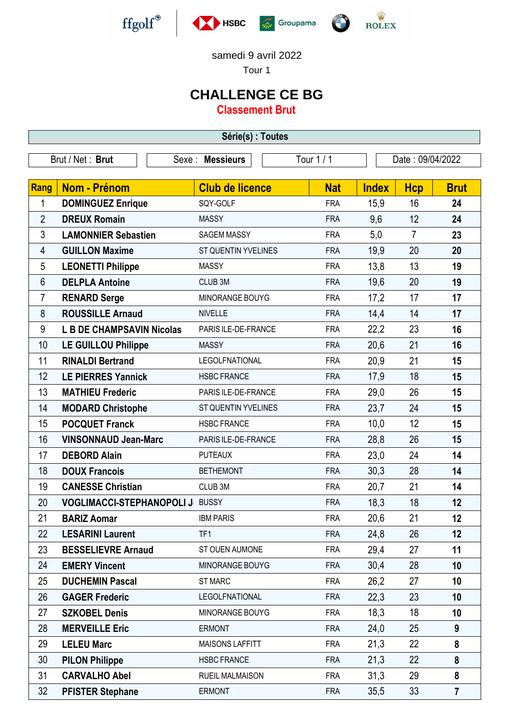







samedi 9 avril 2022

Tour 1

## **CHALLENGE CE BG**

**Classement Brut**

| Série(s) : Toutes                                                      |                                        |                            |            |              |                |                |
|------------------------------------------------------------------------|----------------------------------------|----------------------------|------------|--------------|----------------|----------------|
| Tour 1 / 1<br>Brut / Net: Brut<br>Sexe : Messieurs<br>Date: 09/04/2022 |                                        |                            |            |              |                |                |
|                                                                        |                                        |                            |            |              |                |                |
| Rang                                                                   | <b>Nom - Prénom</b>                    | <b>Club de licence</b>     | <b>Nat</b> | <b>Index</b> | <b>Hcp</b>     | <b>Brut</b>    |
| 1                                                                      | <b>DOMINGUEZ Enrique</b>               | SQY-GOLF                   | <b>FRA</b> | 15,9         | 16             | 24             |
| $\overline{2}$                                                         | <b>DREUX Romain</b>                    | <b>MASSY</b>               | <b>FRA</b> | 9,6          | 12             | 24             |
| 3                                                                      | <b>LAMONNIER Sebastien</b>             | <b>SAGEM MASSY</b>         | <b>FRA</b> | 5,0          | $\overline{7}$ | 23             |
| 4                                                                      | <b>GUILLON Maxime</b>                  | <b>ST QUENTIN YVELINES</b> | <b>FRA</b> | 19,9         | 20             | 20             |
| 5                                                                      | <b>LEONETTI Philippe</b>               | <b>MASSY</b>               | <b>FRA</b> | 13,8         | 13             | 19             |
| $6\phantom{1}$                                                         | <b>DELPLA Antoine</b>                  | CLUB <sub>3M</sub>         | <b>FRA</b> | 19,6         | 20             | 19             |
| 7                                                                      | <b>RENARD Serge</b>                    | MINORANGE BOUYG            | <b>FRA</b> | 17,2         | 17             | 17             |
| 8                                                                      | <b>ROUSSILLE Arnaud</b>                | <b>NIVELLE</b>             | <b>FRA</b> | 14,4         | 14             | 17             |
| 9                                                                      | <b>L B DE CHAMPSAVIN Nicolas</b>       | PARIS ILE-DE-FRANCE        | <b>FRA</b> | 22,2         | 23             | 16             |
| 10                                                                     | <b>LE GUILLOU Philippe</b>             | <b>MASSY</b>               | <b>FRA</b> | 20,6         | 21             | 16             |
| 11                                                                     | <b>RINALDI Bertrand</b>                | <b>LEGOLFNATIONAL</b>      | <b>FRA</b> | 20,9         | 21             | 15             |
| 12                                                                     | <b>LE PIERRES Yannick</b>              | <b>HSBC FRANCE</b>         | <b>FRA</b> | 17,9         | 18             | 15             |
| 13                                                                     | <b>MATHIEU Frederic</b>                | PARIS ILE-DE-FRANCE        | <b>FRA</b> | 29,0         | 26             | 15             |
| 14                                                                     | <b>MODARD Christophe</b>               | ST QUENTIN YVELINES        | <b>FRA</b> | 23,7         | 24             | 15             |
| 15                                                                     | <b>POCQUET Franck</b>                  | <b>HSBC FRANCE</b>         | <b>FRA</b> | 10,0         | 12             | 15             |
| 16                                                                     | <b>VINSONNAUD Jean-Marc</b>            | PARIS ILE-DE-FRANCE        | <b>FRA</b> | 28,8         | 26             | 15             |
| 17                                                                     | <b>DEBORD Alain</b>                    | <b>PUTEAUX</b>             | <b>FRA</b> | 23,0         | 24             | 14             |
| 18                                                                     | <b>DOUX Francois</b>                   | <b>BETHEMONT</b>           | <b>FRA</b> | 30,3         | 28             | 14             |
| 19                                                                     | <b>CANESSE Christian</b>               | CLUB <sub>3M</sub>         | <b>FRA</b> | 20,7         | 21             | 14             |
| 20                                                                     | <b>VOGLIMACCI-STEPHANOPOLI J BUSSY</b> |                            | <b>FRA</b> | 18,3         | 18             | 12             |
| 21                                                                     | <b>BARIZ Aomar</b>                     | <b>IBM PARIS</b>           | <b>FRA</b> | 20,6         | 21             | 12             |
| 22                                                                     | <b>LESARINI Laurent</b>                | TF1                        | <b>FRA</b> | 24,8         | 26             | 12             |
| 23                                                                     | <b>BESSELIEVRE Arnaud</b>              | ST OUEN AUMONE             | <b>FRA</b> | 29,4         | 27             | 11             |
| 24                                                                     | <b>EMERY Vincent</b>                   | MINORANGE BOUYG            | <b>FRA</b> | 30,4         | 28             | 10             |
| 25                                                                     | <b>DUCHEMIN Pascal</b>                 | <b>ST MARC</b>             | <b>FRA</b> | 26,2         | 27             | 10             |
| 26                                                                     | <b>GAGER Frederic</b>                  | LEGOLFNATIONAL             | <b>FRA</b> | 22,3         | 23             | 10             |
| 27                                                                     | <b>SZKOBEL Denis</b>                   | MINORANGE BOUYG            | <b>FRA</b> | 18,3         | 18             | 10             |
| 28                                                                     | <b>MERVEILLE Eric</b>                  | <b>ERMONT</b>              | <b>FRA</b> | 24,0         | 25             | 9              |
| 29                                                                     | <b>LELEU Marc</b>                      | MAISONS LAFFITT            | <b>FRA</b> | 21,3         | 22             | 8              |
| 30                                                                     | <b>PILON Philippe</b>                  | <b>HSBC FRANCE</b>         | <b>FRA</b> | 21,3         | 22             | 8              |
| 31                                                                     | <b>CARVALHO Abel</b>                   | <b>RUEIL MALMAISON</b>     | <b>FRA</b> | 31,3         | 29             | 8              |
| 32                                                                     | <b>PFISTER Stephane</b>                | <b>ERMONT</b>              | <b>FRA</b> | 35,5         | 33             | $\overline{7}$ |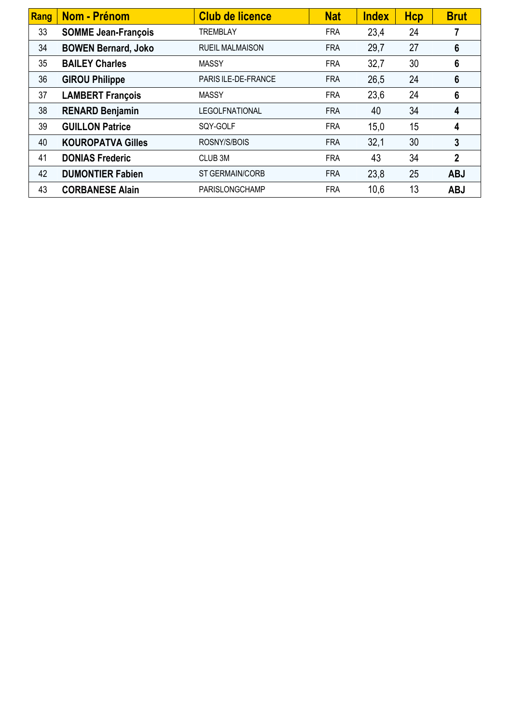| Rang | <b>Nom - Prénom</b>        | <b>Club de licence</b> | <b>Nat</b> | <b>Index</b> | <b>Hcp</b> | <b>Brut</b>     |
|------|----------------------------|------------------------|------------|--------------|------------|-----------------|
| 33   | <b>SOMME Jean-François</b> | <b>TREMBLAY</b>        | <b>FRA</b> | 23,4         | 24         |                 |
| 34   | <b>BOWEN Bernard, Joko</b> | <b>RUEIL MALMAISON</b> | <b>FRA</b> | 29,7         | 27         | $6\phantom{1}6$ |
| 35   | <b>BAILEY Charles</b>      | <b>MASSY</b>           | <b>FRA</b> | 32,7         | 30         | $6\phantom{1}6$ |
| 36   | <b>GIROU Philippe</b>      | PARIS ILE-DE-FRANCE    | <b>FRA</b> | 26,5         | 24         | $6\phantom{1}6$ |
| 37   | <b>LAMBERT François</b>    | <b>MASSY</b>           | <b>FRA</b> | 23,6         | 24         | 6               |
| 38   | <b>RENARD Benjamin</b>     | <b>LEGOLFNATIONAL</b>  | <b>FRA</b> | 40           | 34         | 4               |
| 39   | <b>GUILLON Patrice</b>     | SQY-GOLF               | <b>FRA</b> | 15,0         | 15         | 4               |
| 40   | <b>KOUROPATVA Gilles</b>   | ROSNY/S/BOIS           | <b>FRA</b> | 32,1         | 30         | $\overline{3}$  |
| 41   | <b>DONIAS Frederic</b>     | CLUB <sub>3M</sub>     | <b>FRA</b> | 43           | 34         | $\overline{2}$  |
| 42   | <b>DUMONTIER Fabien</b>    | ST GERMAIN/CORB        | <b>FRA</b> | 23,8         | 25         | <b>ABJ</b>      |
| 43   | <b>CORBANESE Alain</b>     | PARISLONGCHAMP         | <b>FRA</b> | 10,6         | 13         | <b>ABJ</b>      |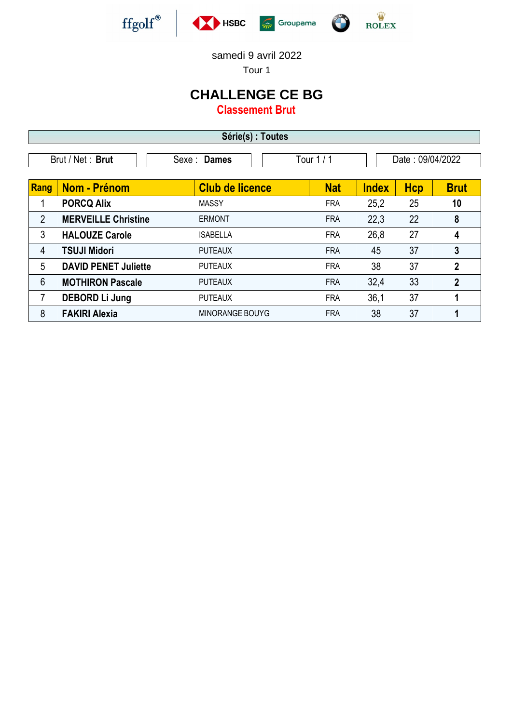





samedi 9 avril 2022

Tour 1

## **CHALLENGE CE BG**

**Classement Brut**

| Série(s) : Toutes |                                                                   |                        |            |              |            |                |  |
|-------------------|-------------------------------------------------------------------|------------------------|------------|--------------|------------|----------------|--|
|                   | Tour $1/1$<br>Date: 09/04/2022<br>Brut / Net: Brut<br>Sexe: Dames |                        |            |              |            |                |  |
| Rang              | Nom - Prénom                                                      | <b>Club de licence</b> | <b>Nat</b> | <b>Index</b> | <b>Hcp</b> | <b>Brut</b>    |  |
|                   | <b>PORCQ Alix</b>                                                 | <b>MASSY</b>           | <b>FRA</b> | 25,2         | 25         | 10             |  |
| $\overline{2}$    | <b>MERVEILLE Christine</b>                                        | <b>ERMONT</b>          | <b>FRA</b> | 22,3         | 22         | 8              |  |
| 3                 | <b>HALOUZE Carole</b>                                             | <b>ISABELLA</b>        | <b>FRA</b> | 26,8         | 27         | 4              |  |
| 4                 | <b>TSUJI Midori</b>                                               | <b>PUTEAUX</b>         | <b>FRA</b> | 45           | 37         | 3              |  |
| 5                 | <b>DAVID PENET Juliette</b>                                       | <b>PUTEAUX</b>         | <b>FRA</b> | 38           | 37         | 2              |  |
| 6                 | <b>MOTHIRON Pascale</b>                                           | <b>PUTEAUX</b>         | <b>FRA</b> | 32,4         | 33         | $\overline{2}$ |  |
| 7                 | <b>DEBORD Li Jung</b>                                             | <b>PUTEAUX</b>         | <b>FRA</b> | 36,1         | 37         |                |  |
| 8                 | <b>FAKIRI Alexia</b>                                              | MINORANGE BOUYG        | <b>FRA</b> | 38           | 37         |                |  |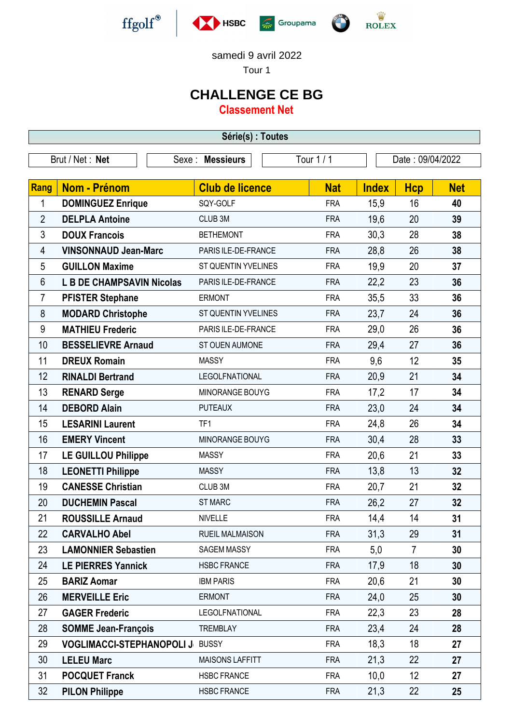







**REAL PROPERTY** 

samedi 9 avril 2022

Tour 1

## **CHALLENGE CE BG**

**Classement Net**

| Série(s) : Toutes                                                     |                                  |                        |            |              |                |            |  |
|-----------------------------------------------------------------------|----------------------------------|------------------------|------------|--------------|----------------|------------|--|
| Tour 1 / 1<br>Brut / Net: Net<br>Sexe : Messieurs<br>Date: 09/04/2022 |                                  |                        |            |              |                |            |  |
|                                                                       |                                  |                        |            |              |                |            |  |
| Rang                                                                  | <b>Nom - Prénom</b>              | <b>Club de licence</b> | <b>Nat</b> | <b>Index</b> | <b>Hcp</b>     | <b>Net</b> |  |
| 1                                                                     | <b>DOMINGUEZ Enrique</b>         | SQY-GOLF               | <b>FRA</b> | 15,9         | 16             | 40         |  |
| $\overline{2}$                                                        | <b>DELPLA Antoine</b>            | CLUB <sub>3M</sub>     | <b>FRA</b> | 19,6         | 20             | 39         |  |
| 3                                                                     | <b>DOUX Francois</b>             | <b>BETHEMONT</b>       | <b>FRA</b> | 30,3         | 28             | 38         |  |
| 4                                                                     | <b>VINSONNAUD Jean-Marc</b>      | PARIS ILE-DE-FRANCE    | <b>FRA</b> | 28,8         | 26             | 38         |  |
| 5                                                                     | <b>GUILLON Maxime</b>            | ST QUENTIN YVELINES    | <b>FRA</b> | 19,9         | 20             | 37         |  |
| 6                                                                     | <b>L B DE CHAMPSAVIN Nicolas</b> | PARIS ILE-DE-FRANCE    | <b>FRA</b> | 22,2         | 23             | 36         |  |
| 7                                                                     | <b>PFISTER Stephane</b>          | <b>ERMONT</b>          | <b>FRA</b> | 35,5         | 33             | 36         |  |
| 8                                                                     | <b>MODARD Christophe</b>         | ST QUENTIN YVELINES    | <b>FRA</b> | 23,7         | 24             | 36         |  |
| 9                                                                     | <b>MATHIEU Frederic</b>          | PARIS ILE-DE-FRANCE    | <b>FRA</b> | 29,0         | 26             | 36         |  |
| 10                                                                    | <b>BESSELIEVRE Arnaud</b>        | ST OUEN AUMONE         | <b>FRA</b> | 29,4         | 27             | 36         |  |
| 11                                                                    | <b>DREUX Romain</b>              | <b>MASSY</b>           | <b>FRA</b> | 9,6          | 12             | 35         |  |
| 12                                                                    | <b>RINALDI Bertrand</b>          | <b>LEGOLFNATIONAL</b>  | <b>FRA</b> | 20,9         | 21             | 34         |  |
| 13                                                                    | <b>RENARD Serge</b>              | MINORANGE BOUYG        | <b>FRA</b> | 17,2         | 17             | 34         |  |
| 14                                                                    | <b>DEBORD Alain</b>              | <b>PUTEAUX</b>         | <b>FRA</b> | 23,0         | 24             | 34         |  |
| 15                                                                    | <b>LESARINI Laurent</b>          | TF1                    | <b>FRA</b> | 24,8         | 26             | 34         |  |
| 16                                                                    | <b>EMERY Vincent</b>             | MINORANGE BOUYG        | <b>FRA</b> | 30,4         | 28             | 33         |  |
| 17                                                                    | <b>LE GUILLOU Philippe</b>       | <b>MASSY</b>           | <b>FRA</b> | 20,6         | 21             | 33         |  |
| 18                                                                    | <b>LEONETTI Philippe</b>         | <b>MASSY</b>           | <b>FRA</b> | 13,8         | 13             | 32         |  |
| 19                                                                    | <b>CANESSE Christian</b>         | CLUB <sub>3M</sub>     | <b>FRA</b> | 20,7         | 21             | 32         |  |
| 20                                                                    | <b>DUCHEMIN Pascal</b>           | <b>ST MARC</b>         | <b>FRA</b> | 26,2         | 27             | 32         |  |
| 21                                                                    | <b>ROUSSILLE Arnaud</b>          | <b>NIVELLE</b>         | <b>FRA</b> | 14,4         | 14             | 31         |  |
| 22                                                                    | <b>CARVALHO Abel</b>             | <b>RUEIL MALMAISON</b> | <b>FRA</b> | 31,3         | 29             | 31         |  |
| 23                                                                    | <b>LAMONNIER Sebastien</b>       | <b>SAGEM MASSY</b>     | <b>FRA</b> | 5,0          | $\overline{7}$ | 30         |  |
| 24                                                                    | <b>LE PIERRES Yannick</b>        | <b>HSBC FRANCE</b>     | <b>FRA</b> | 17,9         | 18             | 30         |  |
| 25                                                                    | <b>BARIZ Aomar</b>               | <b>IBM PARIS</b>       | <b>FRA</b> | 20,6         | 21             | 30         |  |
| 26                                                                    | <b>MERVEILLE Eric</b>            | <b>ERMONT</b>          | <b>FRA</b> | 24,0         | 25             | 30         |  |
| 27                                                                    | <b>GAGER Frederic</b>            | LEGOLFNATIONAL         | <b>FRA</b> | 22,3         | 23             | 28         |  |
| 28                                                                    | <b>SOMME Jean-François</b>       | <b>TREMBLAY</b>        | <b>FRA</b> | 23,4         | 24             | 28         |  |
| 29                                                                    | <b>VOGLIMACCI-STEPHANOPOLI J</b> | <b>BUSSY</b>           | <b>FRA</b> | 18,3         | 18             | 27         |  |
| 30                                                                    | <b>LELEU Marc</b>                | <b>MAISONS LAFFITT</b> | <b>FRA</b> | 21,3         | 22             | 27         |  |
| 31                                                                    | <b>POCQUET Franck</b>            | <b>HSBC FRANCE</b>     | <b>FRA</b> | 10,0         | 12             | 27         |  |
| 32                                                                    | <b>PILON Philippe</b>            | <b>HSBC FRANCE</b>     | <b>FRA</b> | 21,3         | 22             | 25         |  |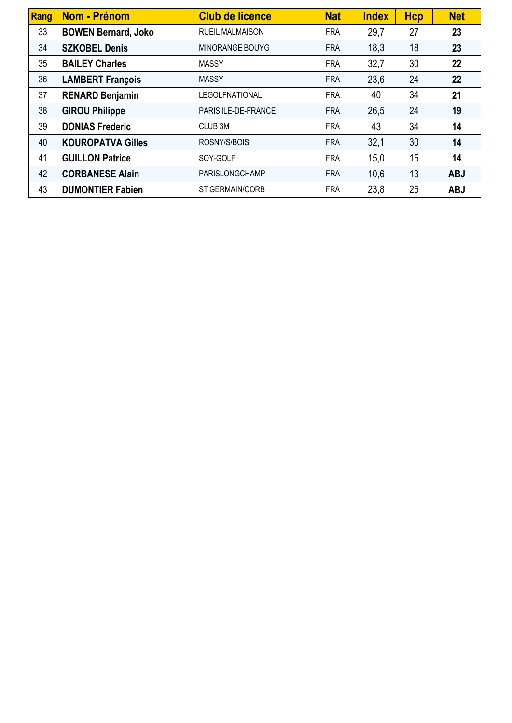| Rang | Nom - Prénom               | <b>Club de licence</b> | <b>Nat</b> | <b>Index</b> | <b>Hcp</b> | <b>Net</b> |
|------|----------------------------|------------------------|------------|--------------|------------|------------|
| 33   | <b>BOWEN Bernard, Joko</b> | <b>RUEIL MALMAISON</b> | <b>FRA</b> | 29,7         | 27         | 23         |
| 34   | <b>SZKOBEL Denis</b>       | MINORANGE BOUYG        | <b>FRA</b> | 18,3         | 18         | 23         |
| 35   | <b>BAILEY Charles</b>      | <b>MASSY</b>           | <b>FRA</b> | 32,7         | 30         | 22         |
| 36   | <b>LAMBERT François</b>    | <b>MASSY</b>           | <b>FRA</b> | 23,6         | 24         | 22         |
| 37   | <b>RENARD Benjamin</b>     | <b>LEGOLFNATIONAL</b>  | <b>FRA</b> | 40           | 34         | 21         |
| 38   | <b>GIROU Philippe</b>      | PARIS ILE-DE-FRANCE    | <b>FRA</b> | 26,5         | 24         | 19         |
| 39   | <b>DONIAS Frederic</b>     | CLUB <sub>3M</sub>     | <b>FRA</b> | 43           | 34         | 14         |
| 40   | <b>KOUROPATVA Gilles</b>   | ROSNY/S/BOIS           | <b>FRA</b> | 32,1         | 30         | 14         |
| 41   | <b>GUILLON Patrice</b>     | SQY-GOLF               | <b>FRA</b> | 15,0         | 15         | 14         |
| 42   | <b>CORBANESE Alain</b>     | PARISLONGCHAMP         | <b>FRA</b> | 10,6         | 13         | <b>ABJ</b> |
| 43   | <b>DUMONTIER Fabien</b>    | ST GERMAIN/CORB        | <b>FRA</b> | 23,8         | 25         | <b>ABJ</b> |